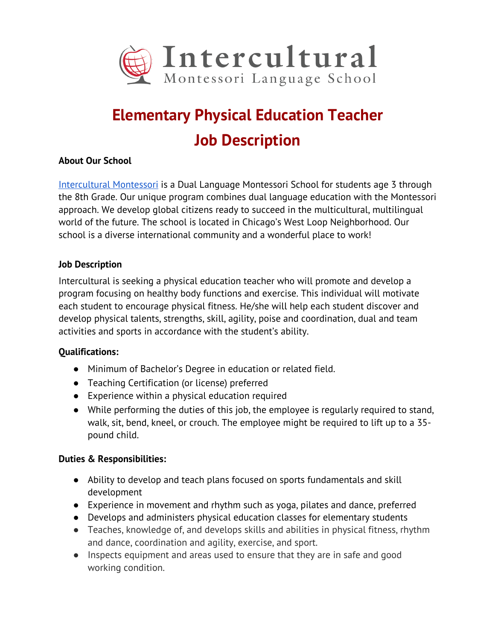

# **Elementary Physical Education Teacher Job Description**

### **About Our School**

Intercultural Montessori is a Dual Language Montessori School for students age 3 through the 8th Grade. Our unique program combines dual language education with the Montessori approach. We develop global citizens ready to succeed in the multicultural, multilingual world of the future. The school is located in Chicago's West Loop Neighborhood. Our school is a diverse international community and a wonderful place to work!

### **Job Description**

Intercultural is seeking a physical education teacher who will promote and develop a program focusing on healthy body functions and exercise. This individual will motivate each student to encourage physical fitness. He/she will help each student discover and develop physical talents, strengths, skill, agility, poise and coordination, dual and team activities and sports in accordance with the student's ability.

# **Qualifications:**

- Minimum of Bachelor's Degree in education or related field.
- Teaching Certification (or license) preferred
- Experience within a physical education required
- While performing the duties of this job, the employee is regularly required to stand, walk, sit, bend, kneel, or crouch. The employee might be required to lift up to a 35 pound child.

# **Duties & Responsibilities:**

- Ability to develop and teach plans focused on sports fundamentals and skill development
- Experience in movement and rhythm such as yoga, pilates and dance, preferred
- Develops and administers physical education classes for elementary students
- Teaches, knowledge of, and develops skills and abilities in physical fitness, rhythm and dance, coordination and agility, exercise, and sport.
- Inspects equipment and areas used to ensure that they are in safe and good working condition.